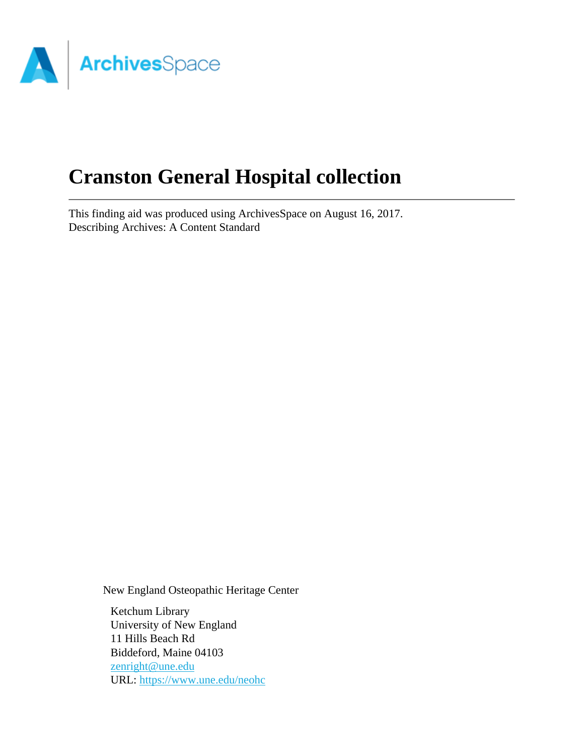

# **Cranston General Hospital collection**

This finding aid was produced using ArchivesSpace on August 16, 2017. Describing Archives: A Content Standard

New England Osteopathic Heritage Center

Ketchum Library University of New England 11 Hills Beach Rd Biddeford, Maine 04103 [zenright@une.edu](mailto:zenright@une.edu) URL:<https://www.une.edu/neohc>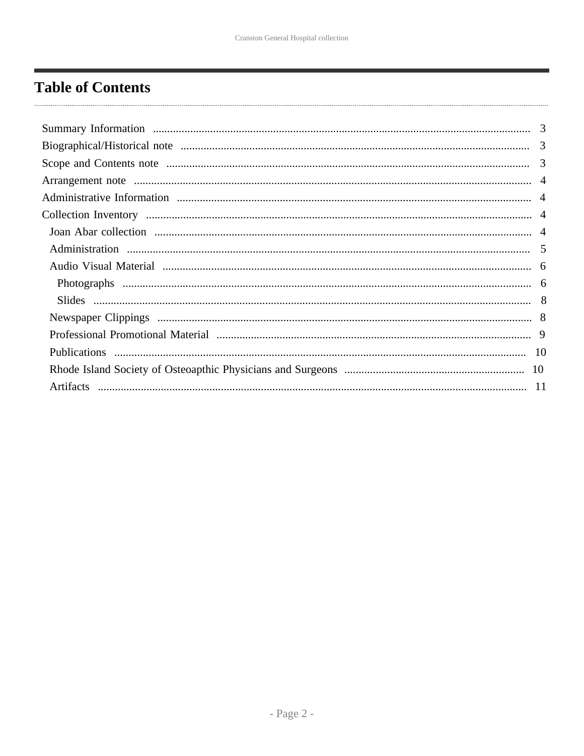# <span id="page-1-0"></span>**Table of Contents**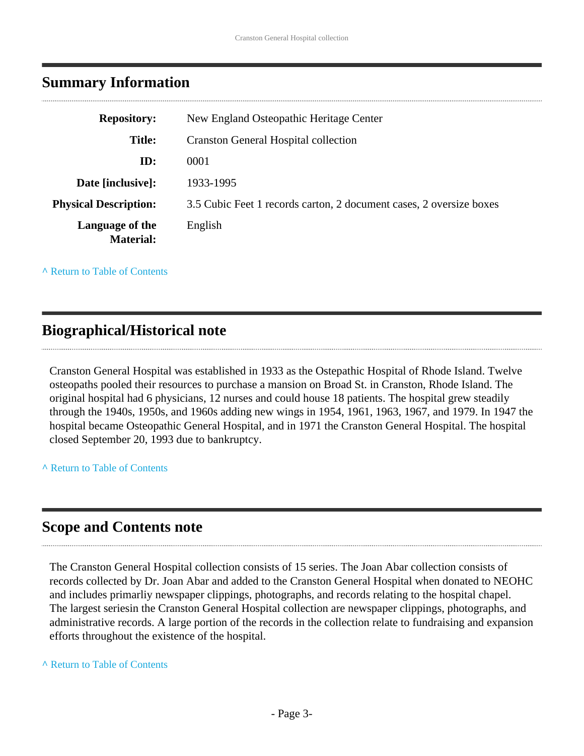<span id="page-2-0"></span>

|  | <b>Summary Information</b> |
|--|----------------------------|
|--|----------------------------|

| <b>Repository:</b>                  | New England Osteopathic Heritage Center                             |
|-------------------------------------|---------------------------------------------------------------------|
|                                     |                                                                     |
| <b>Title:</b>                       | <b>Cranston General Hospital collection</b>                         |
| ID:                                 | 0001                                                                |
| Date [inclusive]:                   | 1933-1995                                                           |
| <b>Physical Description:</b>        | 3.5 Cubic Feet 1 records carton, 2 document cases, 2 oversize boxes |
| Language of the<br><b>Material:</b> | English                                                             |

**^** [Return to Table of Contents](#page-1-0)

### <span id="page-2-1"></span>**Biographical/Historical note**

Cranston General Hospital was established in 1933 as the Ostepathic Hospital of Rhode Island. Twelve osteopaths pooled their resources to purchase a mansion on Broad St. in Cranston, Rhode Island. The original hospital had 6 physicians, 12 nurses and could house 18 patients. The hospital grew steadily through the 1940s, 1950s, and 1960s adding new wings in 1954, 1961, 1963, 1967, and 1979. In 1947 the hospital became Osteopathic General Hospital, and in 1971 the Cranston General Hospital. The hospital closed September 20, 1993 due to bankruptcy.

**^** [Return to Table of Contents](#page-1-0)

### <span id="page-2-2"></span>**Scope and Contents note**

The Cranston General Hospital collection consists of 15 series. The Joan Abar collection consists of records collected by Dr. Joan Abar and added to the Cranston General Hospital when donated to NEOHC and includes primarliy newspaper clippings, photographs, and records relating to the hospital chapel. The largest seriesin the Cranston General Hospital collection are newspaper clippings, photographs, and administrative records. A large portion of the records in the collection relate to fundraising and expansion efforts throughout the existence of the hospital.

#### **^** [Return to Table of Contents](#page-1-0)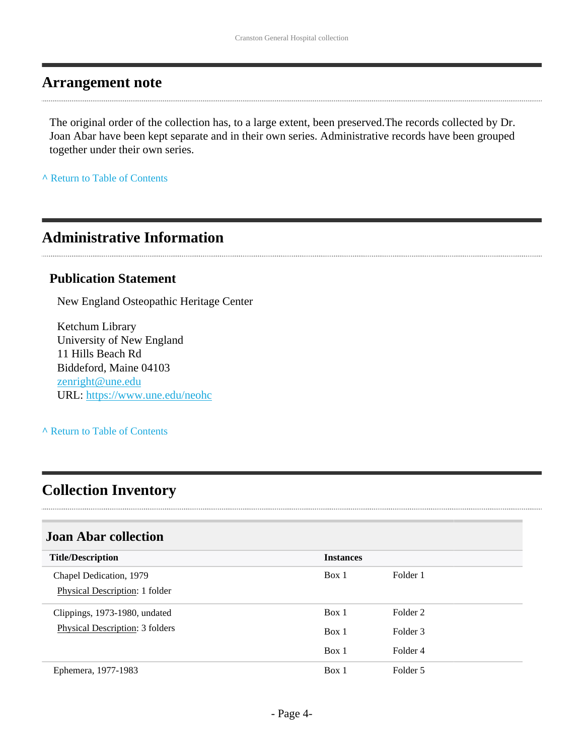### <span id="page-3-0"></span>**Arrangement note**

The original order of the collection has, to a large extent, been preserved.The records collected by Dr. Joan Abar have been kept separate and in their own series. Administrative records have been grouped together under their own series.

**^** [Return to Table of Contents](#page-1-0)

# <span id="page-3-1"></span>**Administrative Information**

#### **Publication Statement**

New England Osteopathic Heritage Center

Ketchum Library University of New England 11 Hills Beach Rd Biddeford, Maine 04103 [zenright@une.edu](mailto:zenright@une.edu) URL:<https://www.une.edu/neohc>

#### **^** [Return to Table of Contents](#page-1-0)

### <span id="page-3-2"></span>**Collection Inventory**

#### <span id="page-3-3"></span>**Joan Abar collection**

| <b>Title/Description</b>                                  | <b>Instances</b> |          |
|-----------------------------------------------------------|------------------|----------|
| Chapel Dedication, 1979<br>Physical Description: 1 folder | Box 1            | Folder 1 |
| Clippings, 1973-1980, undated                             | Box 1            | Folder 2 |
| Physical Description: 3 folders                           | Box 1            | Folder 3 |
|                                                           | Box 1            | Folder 4 |
| Ephemera, 1977-1983                                       | Box 1            | Folder 5 |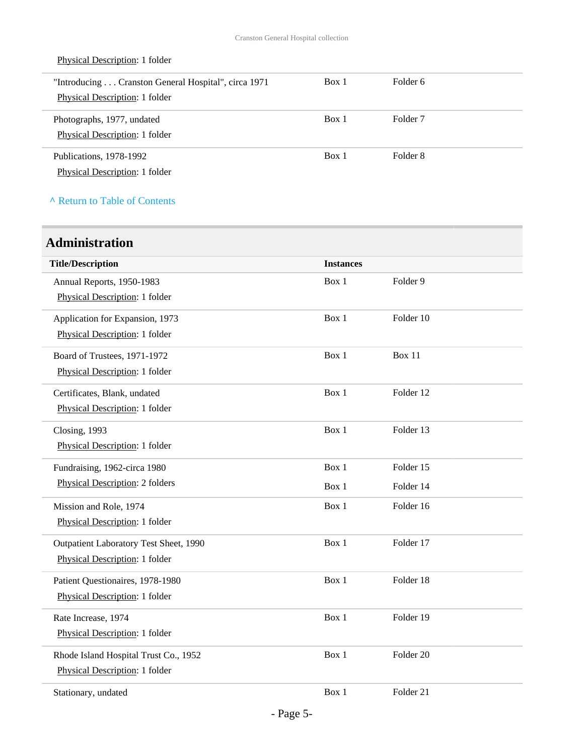| "Introducing Cranston General Hospital", circa 1971<br><b>Physical Description: 1 folder</b> | Box 1 | Folder 6            |
|----------------------------------------------------------------------------------------------|-------|---------------------|
| Photographs, 1977, undated<br><b>Physical Description: 1 folder</b>                          | Box 1 | Folder <sub>7</sub> |
| Publications, 1978-1992<br><b>Physical Description: 1 folder</b>                             | Box 1 | Folder 8            |

#### **^** [Return to Table of Contents](#page-1-0)

Physical Description: 1 folder

### <span id="page-4-0"></span>**Administration**

| <b>Title/Description</b>               | <b>Instances</b> |                      |
|----------------------------------------|------------------|----------------------|
| Annual Reports, 1950-1983              | Box 1            | Folder <sub>9</sub>  |
| Physical Description: 1 folder         |                  |                      |
|                                        | Box 1            | Folder 10            |
| Application for Expansion, 1973        |                  |                      |
| Physical Description: 1 folder         |                  |                      |
| Board of Trustees, 1971-1972           | Box 1            | <b>Box 11</b>        |
| Physical Description: 1 folder         |                  |                      |
|                                        | Box 1            | Folder 12            |
| Certificates, Blank, undated           |                  |                      |
| Physical Description: 1 folder         |                  |                      |
| Closing, 1993                          | Box 1            | Folder 13            |
| Physical Description: 1 folder         |                  |                      |
|                                        |                  |                      |
| Fundraising, 1962-circa 1980           | Box 1            | Folder 15            |
| Physical Description: 2 folders        | Box 1            | Folder 14            |
| Mission and Role, 1974                 | Box 1            | Folder 16            |
| Physical Description: 1 folder         |                  |                      |
|                                        | Box 1            | Folder 17            |
| Outpatient Laboratory Test Sheet, 1990 |                  |                      |
| Physical Description: 1 folder         |                  |                      |
| Patient Questionaires, 1978-1980       | Box 1            | Folder 18            |
| Physical Description: 1 folder         |                  |                      |
|                                        | Box 1            | Folder 19            |
| Rate Increase, 1974                    |                  |                      |
| Physical Description: 1 folder         |                  |                      |
| Rhode Island Hospital Trust Co., 1952  | Box 1            | Folder <sub>20</sub> |
| Physical Description: 1 folder         |                  |                      |
|                                        |                  |                      |
| Stationary, undated                    | Box 1            | Folder 21            |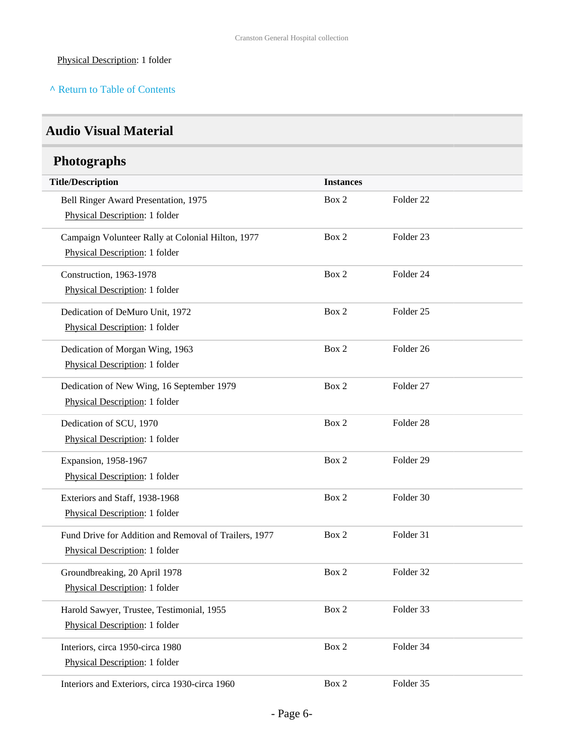#### Physical Description: 1 folder

#### **^** [Return to Table of Contents](#page-1-0)

### <span id="page-5-0"></span>**Audio Visual Material**

# <span id="page-5-1"></span>**Photographs**

| <b>Title/Description</b>                              | <b>Instances</b> |                      |
|-------------------------------------------------------|------------------|----------------------|
| Bell Ringer Award Presentation, 1975                  | Box 2            | Folder <sub>22</sub> |
| Physical Description: 1 folder                        |                  |                      |
| Campaign Volunteer Rally at Colonial Hilton, 1977     | Box 2            | Folder <sub>23</sub> |
| Physical Description: 1 folder                        |                  |                      |
| Construction, 1963-1978                               | Box 2            | Folder 24            |
| Physical Description: 1 folder                        |                  |                      |
| Dedication of DeMuro Unit, 1972                       | Box 2            | Folder <sub>25</sub> |
| Physical Description: 1 folder                        |                  |                      |
| Dedication of Morgan Wing, 1963                       | Box 2            | Folder 26            |
| Physical Description: 1 folder                        |                  |                      |
| Dedication of New Wing, 16 September 1979             | Box 2            | Folder 27            |
| Physical Description: 1 folder                        |                  |                      |
| Dedication of SCU, 1970                               | Box 2            | Folder 28            |
| Physical Description: 1 folder                        |                  |                      |
| Expansion, 1958-1967                                  | Box 2            | Folder 29            |
| Physical Description: 1 folder                        |                  |                      |
| Exteriors and Staff, 1938-1968                        | Box 2            | Folder 30            |
| Physical Description: 1 folder                        |                  |                      |
| Fund Drive for Addition and Removal of Trailers, 1977 | Box 2            | Folder 31            |
| Physical Description: 1 folder                        |                  |                      |
| Groundbreaking, 20 April 1978                         | Box 2            | Folder 32            |
| Physical Description: 1 folder                        |                  |                      |
| Harold Sawyer, Trustee, Testimonial, 1955             | Box 2            | Folder 33            |
| Physical Description: 1 folder                        |                  |                      |
| Interiors, circa 1950-circa 1980                      | Box 2            | Folder 34            |
| Physical Description: 1 folder                        |                  |                      |
| Interiors and Exteriors, circa 1930-circa 1960        | Box 2            | Folder 35            |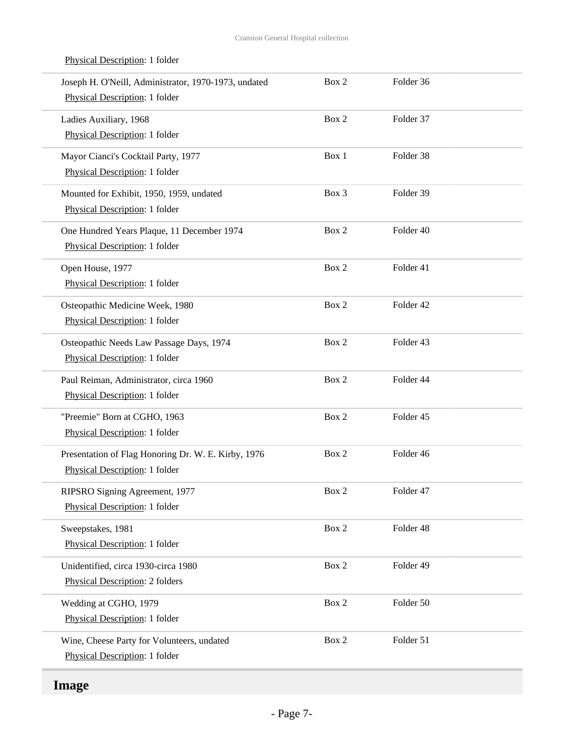| Joseph H. O'Neill, Administrator, 1970-1973, undated<br>Physical Description: 1 folder | Box 2 | Folder 36 |  |
|----------------------------------------------------------------------------------------|-------|-----------|--|
| Ladies Auxiliary, 1968<br>Physical Description: 1 folder                               | Box 2 | Folder 37 |  |
| Mayor Cianci's Cocktail Party, 1977<br>Physical Description: 1 folder                  | Box 1 | Folder 38 |  |
| Mounted for Exhibit, 1950, 1959, undated<br>Physical Description: 1 folder             | Box 3 | Folder 39 |  |
| One Hundred Years Plaque, 11 December 1974<br>Physical Description: 1 folder           | Box 2 | Folder 40 |  |
| Open House, 1977<br>Physical Description: 1 folder                                     | Box 2 | Folder 41 |  |
| Osteopathic Medicine Week, 1980<br>Physical Description: 1 folder                      | Box 2 | Folder 42 |  |
| Osteopathic Needs Law Passage Days, 1974<br>Physical Description: 1 folder             | Box 2 | Folder 43 |  |
| Paul Reiman, Administrator, circa 1960<br>Physical Description: 1 folder               | Box 2 | Folder 44 |  |
| "Preemie" Born at CGHO, 1963<br>Physical Description: 1 folder                         | Box 2 | Folder 45 |  |
| Presentation of Flag Honoring Dr. W. E. Kirby, 1976<br>Physical Description: 1 folder  | Box 2 | Folder 46 |  |
| RIPSRO Signing Agreement, 1977<br>Physical Description: 1 folder                       | Box 2 | Folder 47 |  |
| Sweepstakes, 1981<br>Physical Description: 1 folder                                    | Box 2 | Folder 48 |  |
| Unidentified, circa 1930-circa 1980<br>Physical Description: 2 folders                 | Box 2 | Folder 49 |  |
| Wedding at CGHO, 1979<br>Physical Description: 1 folder                                | Box 2 | Folder 50 |  |
| Wine, Cheese Party for Volunteers, undated<br>Physical Description: 1 folder           | Box 2 | Folder 51 |  |
|                                                                                        |       |           |  |

#### Physical Description: 1 folder

# **Image**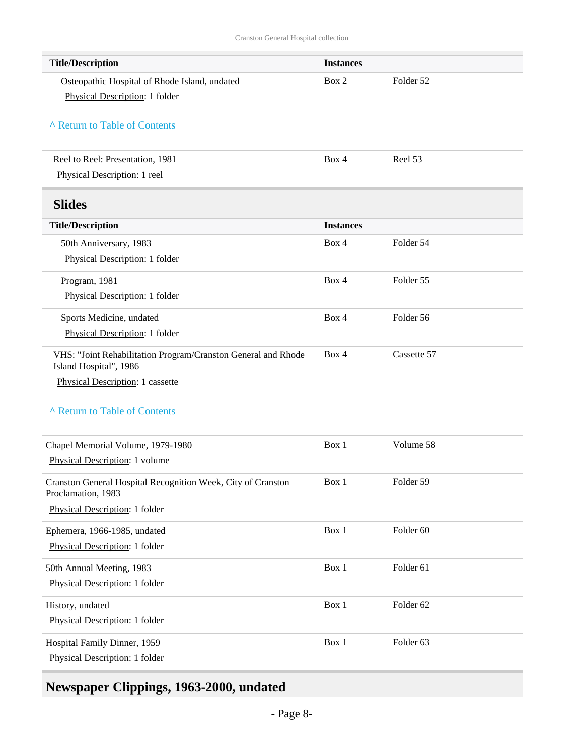<span id="page-7-0"></span>

| <b>Title/Description</b>                                                                | <b>Instances</b> |             |
|-----------------------------------------------------------------------------------------|------------------|-------------|
| Osteopathic Hospital of Rhode Island, undated                                           | Box 2            | Folder 52   |
| Physical Description: 1 folder                                                          |                  |             |
|                                                                                         |                  |             |
| A Return to Table of Contents                                                           |                  |             |
|                                                                                         |                  |             |
| Reel to Reel: Presentation, 1981                                                        | Box 4            | Reel 53     |
| Physical Description: 1 reel                                                            |                  |             |
| <b>Slides</b>                                                                           |                  |             |
| <b>Title/Description</b>                                                                | <b>Instances</b> |             |
| 50th Anniversary, 1983                                                                  | Box 4            | Folder 54   |
| Physical Description: 1 folder                                                          |                  |             |
| Program, 1981                                                                           | Box 4            | Folder 55   |
| Physical Description: 1 folder                                                          |                  |             |
| Sports Medicine, undated                                                                | Box 4            | Folder 56   |
| Physical Description: 1 folder                                                          |                  |             |
|                                                                                         | Box 4            | Cassette 57 |
| VHS: "Joint Rehabilitation Program/Cranston General and Rhode<br>Island Hospital", 1986 |                  |             |
| Physical Description: 1 cassette                                                        |                  |             |
|                                                                                         |                  |             |
| A Return to Table of Contents                                                           |                  |             |
|                                                                                         |                  |             |
| Chapel Memorial Volume, 1979-1980                                                       | Box 1            | Volume 58   |
| Physical Description: 1 volume                                                          |                  |             |
| Cranston General Hospital Recognition Week, City of Cranston<br>Proclamation, 1983      | Box 1            | Folder 59   |
| Physical Description: 1 folder                                                          |                  |             |
| Ephemera, 1966-1985, undated                                                            | Box 1            | Folder 60   |
| Physical Description: 1 folder                                                          |                  |             |
| 50th Annual Meeting, 1983                                                               | Box 1            | Folder 61   |
| Physical Description: 1 folder                                                          |                  |             |
| History, undated                                                                        | Box 1            | Folder 62   |
| Physical Description: 1 folder                                                          |                  |             |
|                                                                                         | Box 1            | Folder 63   |
| Hospital Family Dinner, 1959<br>Physical Description: 1 folder                          |                  |             |
|                                                                                         |                  |             |

# <span id="page-7-1"></span>**Newspaper Clippings, 1963-2000, undated**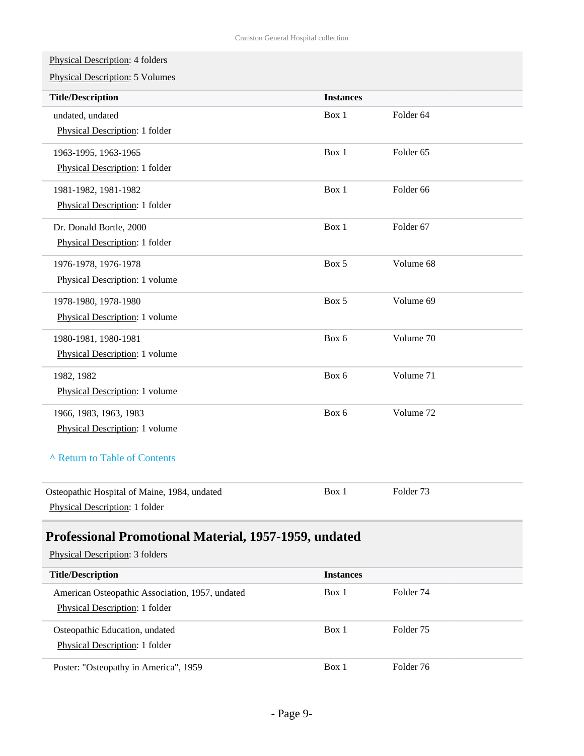Physical Description: 4 folders

Physical Description: 5 Volumes

<span id="page-8-0"></span>

| <b>Title/Description</b>                              | <b>Instances</b> |                      |
|-------------------------------------------------------|------------------|----------------------|
| undated, undated                                      | Box 1            | Folder 64            |
| Physical Description: 1 folder                        |                  |                      |
| 1963-1995, 1963-1965                                  | Box 1            | Folder <sub>65</sub> |
| Physical Description: 1 folder                        |                  |                      |
| 1981-1982, 1981-1982                                  | Box 1            | Folder <sub>66</sub> |
| Physical Description: 1 folder                        |                  |                      |
| Dr. Donald Bortle, 2000                               | Box 1            | Folder <sub>67</sub> |
| Physical Description: 1 folder                        |                  |                      |
| 1976-1978, 1976-1978                                  | Box 5            | Volume 68            |
| Physical Description: 1 volume                        |                  |                      |
| 1978-1980, 1978-1980                                  | Box 5            | Volume 69            |
| Physical Description: 1 volume                        |                  |                      |
| 1980-1981, 1980-1981                                  | Box 6            | Volume 70            |
| Physical Description: 1 volume                        |                  |                      |
| 1982, 1982                                            | Box 6            | Volume 71            |
| Physical Description: 1 volume                        |                  |                      |
| 1966, 1983, 1963, 1983                                | Box 6            | Volume 72            |
| Physical Description: 1 volume                        |                  |                      |
| A Return to Table of Contents                         |                  |                      |
|                                                       |                  |                      |
| Osteopathic Hospital of Maine, 1984, undated          | Box 1            | Folder <sub>73</sub> |
| Physical Description: 1 folder                        |                  |                      |
| Professional Promotional Material, 1957-1959, undated |                  |                      |
| Physical Description: 3 folders                       |                  |                      |
|                                                       |                  |                      |
| <b>Title/Description</b>                              | <b>Instances</b> |                      |
| American Osteopathic Association, 1957, undated       | Box 1            | Folder 74            |
| Physical Description: 1 folder                        |                  |                      |
| Osteopathic Education, undated                        | Box 1            | Folder <sub>75</sub> |
| Physical Description: 1 folder                        |                  |                      |
| Poster: "Osteopathy in America", 1959                 | Box 1            | Folder 76            |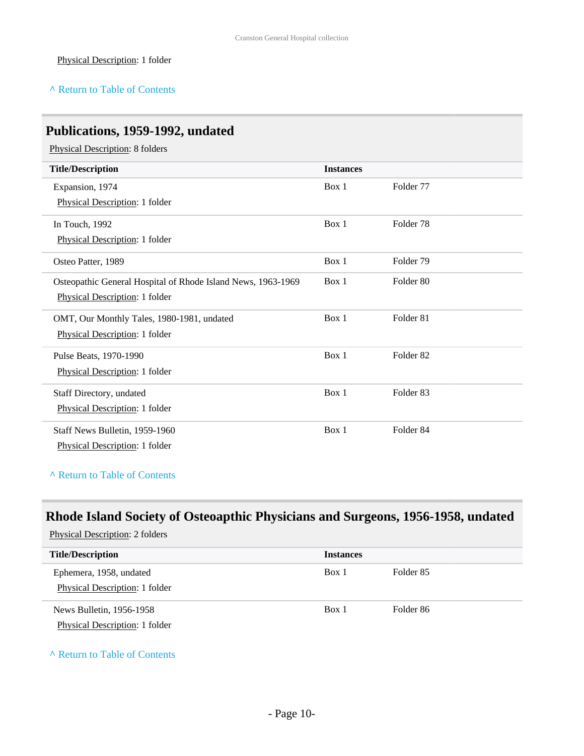#### Physical Description: 1 folder

#### **^** [Return to Table of Contents](#page-1-0)

### <span id="page-9-0"></span>**Publications, 1959-1992, undated**

Physical Description: 8 folders

| <b>Title/Description</b>                                     | <b>Instances</b> |                      |
|--------------------------------------------------------------|------------------|----------------------|
| Expansion, 1974                                              | Box 1            | Folder 77            |
| Physical Description: 1 folder                               |                  |                      |
| In Touch, 1992                                               | Box 1            | Folder <sub>78</sub> |
| Physical Description: 1 folder                               |                  |                      |
| Osteo Patter, 1989                                           | Box 1            | Folder 79            |
| Osteopathic General Hospital of Rhode Island News, 1963-1969 | Box 1            | Folder <sub>80</sub> |
| Physical Description: 1 folder                               |                  |                      |
| OMT, Our Monthly Tales, 1980-1981, undated                   | Box 1            | Folder <sub>81</sub> |
| Physical Description: 1 folder                               |                  |                      |
| Pulse Beats, 1970-1990                                       | Box 1            | Folder <sub>82</sub> |
| Physical Description: 1 folder                               |                  |                      |
| Staff Directory, undated                                     | Box 1            | Folder <sub>83</sub> |
| Physical Description: 1 folder                               |                  |                      |
| Staff News Bulletin, 1959-1960                               | Box 1            | Folder <sub>84</sub> |
| Physical Description: 1 folder                               |                  |                      |

**^** [Return to Table of Contents](#page-1-0)

## <span id="page-9-1"></span>**Rhode Island Society of Osteoapthic Physicians and Surgeons, 1956-1958, undated**

Physical Description: 2 folders

| <b>Title/Description</b>                                         | <b>Instances</b> |                      |
|------------------------------------------------------------------|------------------|----------------------|
| Ephemera, 1958, undated<br><b>Physical Description: 1 folder</b> | Box 1            | Folder <sub>85</sub> |
| News Bulletin, 1956-1958<br>Physical Description: 1 folder       | Box 1            | Folder <sub>86</sub> |

**^** [Return to Table of Contents](#page-1-0)